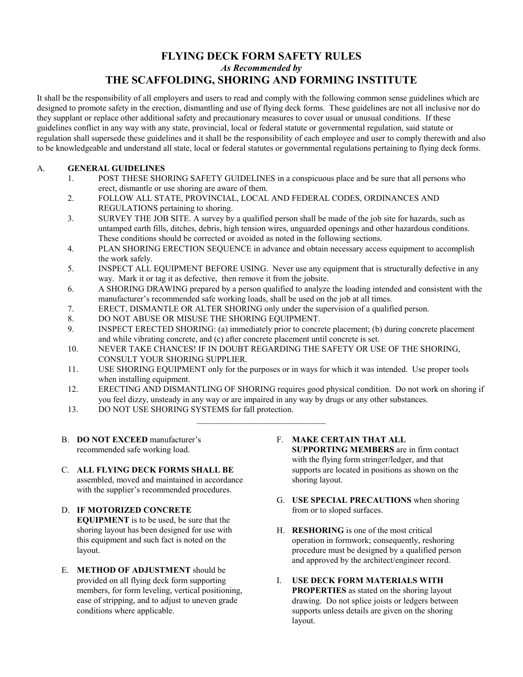## **FLYING DECK FORM SAFETY RULES**  *As Recommended by* **THE SCAFFOLDING, SHORING AND FORMING INSTITUTE**

It shall be the responsibility of all employers and users to read and comply with the following common sense guidelines which are designed to promote safety in the erection, dismantling and use of flying deck forms. These guidelines are not all inclusive nor do they supplant or replace other additional safety and precautionary measures to cover usual or unusual conditions. If these guidelines conflict in any way with any state, provincial, local or federal statute or governmental regulation, said statute or regulation shall supersede these guidelines and it shall be the responsibility of each employee and user to comply therewith and also to be knowledgeable and understand all state, local or federal statutes or governmental regulations pertaining to flying deck forms.

## A. **GENERAL GUIDELINES**

- 1. POST THESE SHORING SAFETY GUIDELINES in a conspicuous place and be sure that all persons who erect, dismantle or use shoring are aware of them.
- 2. FOLLOW ALL STATE, PROVINCIAL, LOCAL AND FEDERAL CODES, ORDINANCES AND REGULATIONS pertaining to shoring.
- 3. SURVEY THE JOB SITE. A survey by a qualified person shall be made of the job site for hazards, such as untamped earth fills, ditches, debris, high tension wires, unguarded openings and other hazardous conditions. These conditions should be corrected or avoided as noted in the following sections.
- 4. PLAN SHORING ERECTION SEQUENCE in advance and obtain necessary access equipment to accomplish the work safely.
- 5. INSPECT ALL EQUIPMENT BEFORE USING. Never use any equipment that is structurally defective in any way. Mark it or tag it as defective, then remove it from the jobsite.
- 6. A SHORING DRAWING prepared by a person qualified to analyze the loading intended and consistent with the manufacturer's recommended safe working loads, shall be used on the job at all times.
- 7. ERECT, DISMANTLE OR ALTER SHORING only under the supervision of a qualified person.
- 8. DO NOT ABUSE OR MISUSE THE SHORING EQUIPMENT.
- 9. INSPECT ERECTED SHORING: (a) immediately prior to concrete placement; (b) during concrete placement and while vibrating concrete, and (c) after concrete placement until concrete is set.
- 10. NEVER TAKE CHANCES! IF IN DOUBT REGARDING THE SAFETY OR USE OF THE SHORING, CONSULT YOUR SHORING SUPPLIER.
- 11. USE SHORING EQUIPMENT only for the purposes or in ways for which it was intended. Use proper tools when installing equipment.
- 12. ERECTING AND DISMANTLING OF SHORING requires good physical condition. Do not work on shoring if you feel dizzy, unsteady in any way or are impaired in any way by drugs or any other substances.
- 13. DO NOT USE SHORING SYSTEMS for fall protection.
- B. **DO NOT EXCEED** manufacturer's recommended safe working load.
- C. **ALL FLYING DECK FORMS SHALL BE** assembled, moved and maintained in accordance with the supplier's recommended procedures.
- D. **IF MOTORIZED CONCRETE EQUIPMENT** is to be used, be sure that the shoring layout has been designed for use with this equipment and such fact is noted on the layout.
- E. **METHOD OF ADJUSTMENT** should be provided on all flying deck form supporting members, for form leveling, vertical positioning, ease of stripping, and to adjust to uneven grade conditions where applicable.
- F. **MAKE CERTAIN THAT ALL SUPPORTING MEMBERS** are in firm contact with the flying form stringer/ledger, and that supports are located in positions as shown on the shoring layout.
- G. **USE SPECIAL PRECAUTIONS** when shoring from or to sloped surfaces.
- H. **RESHORING** is one of the most critical operation in formwork; consequently, reshoring procedure must be designed by a qualified person and approved by the architect/engineer record.
- I. **USE DECK FORM MATERIALS WITH PROPERTIES** as stated on the shoring layout drawing. Do not splice joists or ledgers between supports unless details are given on the shoring layout.